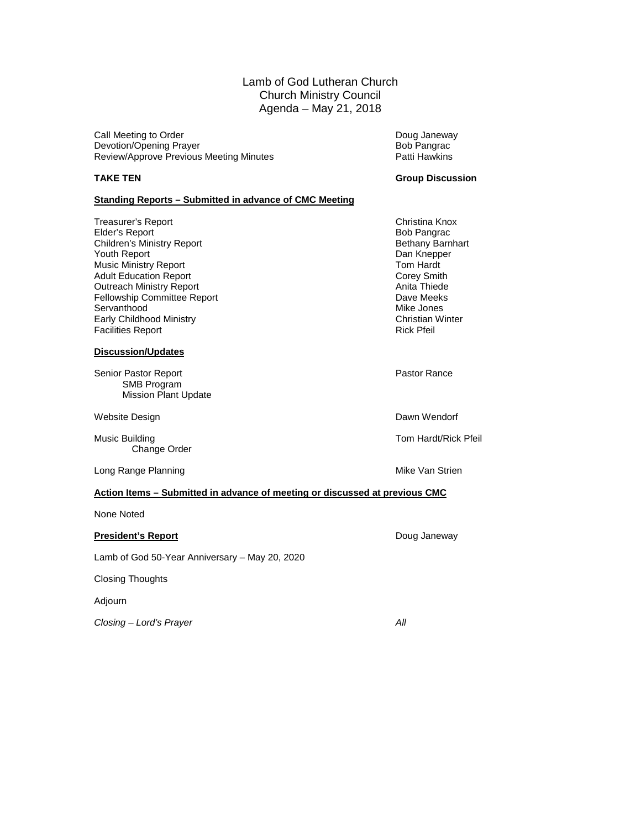Lamb of God Lutheran Church Church Ministry Council Agenda – May 21, 2018

Call Meeting to Order National Call Meeting to Order National Control of Call Meeting Doug Janeway<br>
Devotion/Opening Prayer National Control of Call Meeting Doug Janeway Devotion/Opening Prayer and Devotion/Opening Prayer and Devotion/Opening Prayer and Devotion-<br>
Deview/Approve Previous Meeting Minutes and Devotion Patti Hawkins Review/Approve Previous Meeting Minutes

#### **TAKE TEN Group Discussion**

#### **Standing Reports – Submitted in advance of CMC Meeting**

Treasurer's Report Christina Knox Elder's Report **Elder's Report Contains a Solution Children's Ministry Report Children's Ministry Report Children's Ministry Report Children's Ministry Report Children's Ministry Report Children's Ministry Report Children'** Children's Ministry Report **Bethany Barnhart Children's Ministry Report** Bethany Barnhart Bethany Barnhart Bethany Barnhart Bethany Barnhart Bethany Barnhart Bethany Barnhart Bethany Barnhart Bethany Barnhart Bethany Barnh Youth Report Music Ministry Report **Tom Hardt** Consumer School and Tom Hardt Corey Smith<br>
Adult Education Report **The Consumer School Adult** Corey Smith Adult Education Report **Corey Smith Corey Smith Corey Smith Corey Smith Corey Smith Corey Smith Corey Smith Corey Smith Corey Smith Corey Smith Corey Smith Corey Smith Corey Smith Corey Smith Corey Smith Corey Smith Corey** Outreach Ministry Report **Anita Thiede**<br> **Outreach Ministry Report** Anita Thiede<br> **Committee Report** Anita Thiede Anita Thiede Anita Thiede Anita Thiede Anita Thiede Fellowship Committee Report **Dave Meeks**<br>
Servanthood Mike Jones Servanthood Early Childhood Ministry **Christian Winter Christian Winter Facilities Report** Christian Winter Facilities Report Facilities Report

#### **Discussion/Updates**

Senior Pastor Report **Pastor Rance** SMB Program Mission Plant Update

Website Design **Dawn Wendorf Dawn Wendorf** 

Music Building Tom Hardt/Rick Pfeil Change Order

Long Range Planning **Mike Van Strien** Mike Van Strien

#### **Action Items – Submitted in advance of meeting or discussed at previous CMC**

None Noted

#### **President's Report Contract Contract Contract Contract Contract Contract Contract Contract Contract Contract Contract Contract Contract Contract Contract Contract Contract Contract Contract Contract Contract Contract Co**

Lamb of God 50-Year Anniversary – May 20, 2020

Closing Thoughts

Adjourn

*Closing – Lord's Prayer All*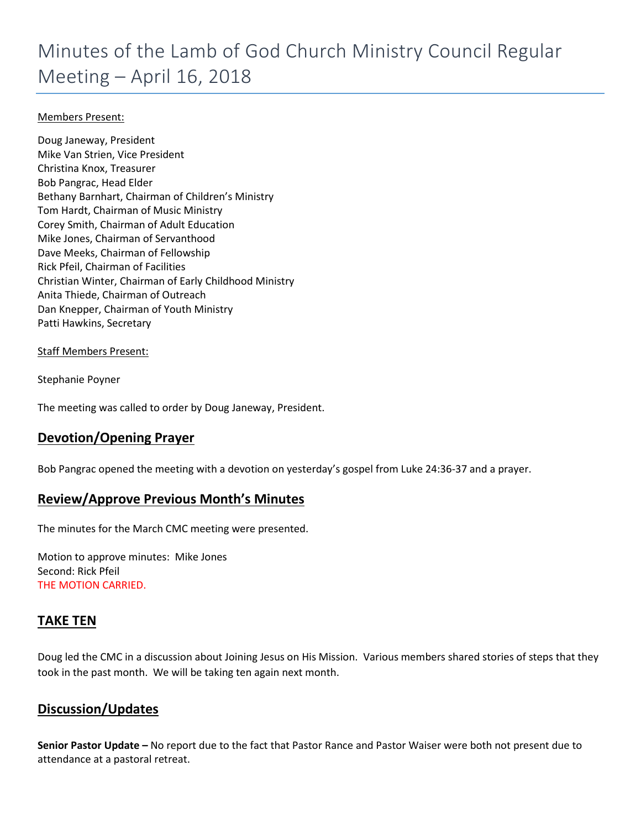## Minutes of the Lamb of God Church Ministry Council Regular Meeting – April 16, 2018

#### Members Present:

Doug Janeway, President Mike Van Strien, Vice President Christina Knox, Treasurer Bob Pangrac, Head Elder Bethany Barnhart, Chairman of Children's Ministry Tom Hardt, Chairman of Music Ministry Corey Smith, Chairman of Adult Education Mike Jones, Chairman of Servanthood Dave Meeks, Chairman of Fellowship Rick Pfeil, Chairman of Facilities Christian Winter, Chairman of Early Childhood Ministry Anita Thiede, Chairman of Outreach Dan Knepper, Chairman of Youth Ministry Patti Hawkins, Secretary

#### Staff Members Present:

Stephanie Poyner

The meeting was called to order by Doug Janeway, President.

#### **Devotion/Opening Prayer**

Bob Pangrac opened the meeting with a devotion on yesterday's gospel from Luke 24:36-37 and a prayer.

#### **Review/Approve Previous Month's Minutes**

The minutes for the March CMC meeting were presented.

Motion to approve minutes: Mike Jones Second: Rick Pfeil THE MOTION CARRIED.

#### **TAKE TEN**

Doug led the CMC in a discussion about Joining Jesus on His Mission. Various members shared stories of steps that they took in the past month. We will be taking ten again next month.

#### **Discussion/Updates**

**Senior Pastor Update –** No report due to the fact that Pastor Rance and Pastor Waiser were both not present due to attendance at a pastoral retreat.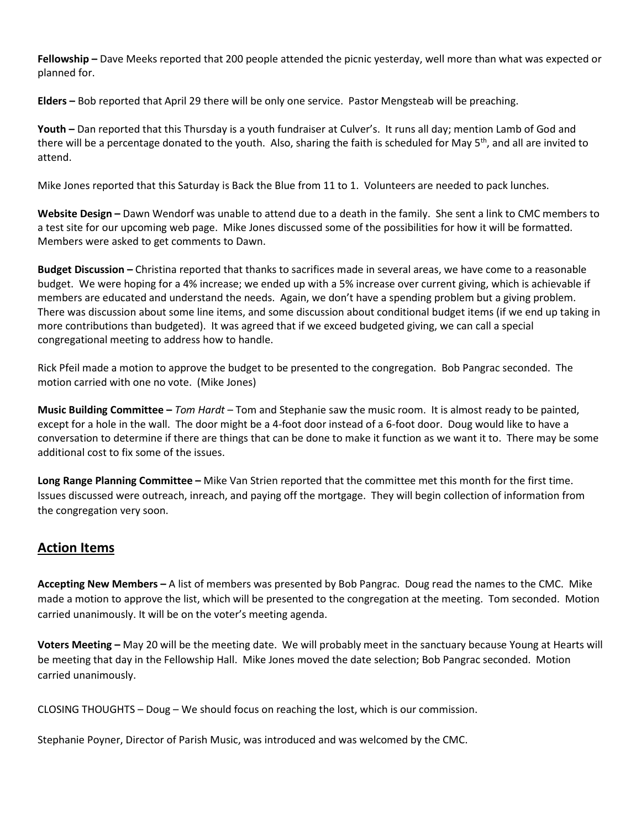**Fellowship –** Dave Meeks reported that 200 people attended the picnic yesterday, well more than what was expected or planned for.

**Elders –** Bob reported that April 29 there will be only one service. Pastor Mengsteab will be preaching.

**Youth –** Dan reported that this Thursday is a youth fundraiser at Culver's. It runs all day; mention Lamb of God and there will be a percentage donated to the youth. Also, sharing the faith is scheduled for May 5<sup>th</sup>, and all are invited to attend.

Mike Jones reported that this Saturday is Back the Blue from 11 to 1. Volunteers are needed to pack lunches.

**Website Design –** Dawn Wendorf was unable to attend due to a death in the family. She sent a link to CMC members to a test site for our upcoming web page. Mike Jones discussed some of the possibilities for how it will be formatted. Members were asked to get comments to Dawn.

**Budget Discussion –** Christina reported that thanks to sacrifices made in several areas, we have come to a reasonable budget. We were hoping for a 4% increase; we ended up with a 5% increase over current giving, which is achievable if members are educated and understand the needs. Again, we don't have a spending problem but a giving problem. There was discussion about some line items, and some discussion about conditional budget items (if we end up taking in more contributions than budgeted). It was agreed that if we exceed budgeted giving, we can call a special congregational meeting to address how to handle.

Rick Pfeil made a motion to approve the budget to be presented to the congregation. Bob Pangrac seconded. The motion carried with one no vote. (Mike Jones)

**Music Building Committee –** *Tom Hardt* – Tom and Stephanie saw the music room. It is almost ready to be painted, except for a hole in the wall. The door might be a 4-foot door instead of a 6-foot door. Doug would like to have a conversation to determine if there are things that can be done to make it function as we want it to. There may be some additional cost to fix some of the issues.

**Long Range Planning Committee –** Mike Van Strien reported that the committee met this month for the first time. Issues discussed were outreach, inreach, and paying off the mortgage. They will begin collection of information from the congregation very soon.

#### **Action Items**

**Accepting New Members –** A list of members was presented by Bob Pangrac. Doug read the names to the CMC. Mike made a motion to approve the list, which will be presented to the congregation at the meeting. Tom seconded. Motion carried unanimously. It will be on the voter's meeting agenda.

**Voters Meeting –** May 20 will be the meeting date. We will probably meet in the sanctuary because Young at Hearts will be meeting that day in the Fellowship Hall. Mike Jones moved the date selection; Bob Pangrac seconded. Motion carried unanimously.

CLOSING THOUGHTS – Doug – We should focus on reaching the lost, which is our commission.

Stephanie Poyner, Director of Parish Music, was introduced and was welcomed by the CMC.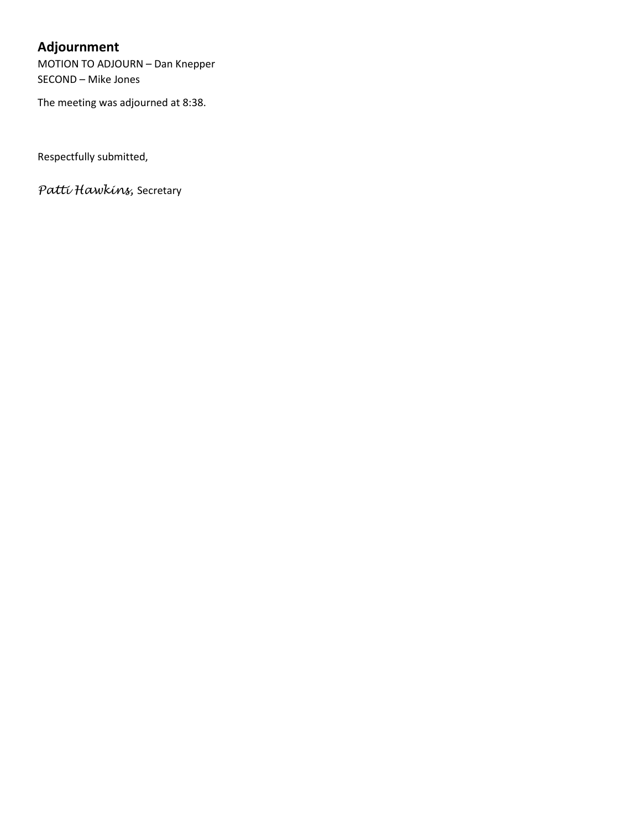## **Adjournment**

MOTION TO ADJOURN – Dan Knepper SECOND – Mike Jones

The meeting was adjourned at 8:38.

Respectfully submitted,

*Patti Hawkins,* Secretary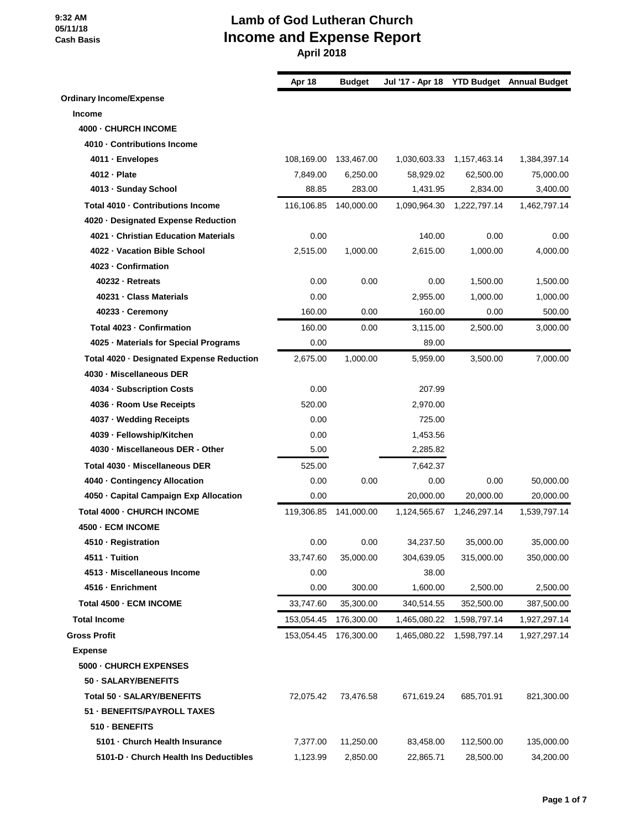|                                           | Apr 18     | <b>Budget</b> |              |              | Jul '17 - Apr 18 YTD Budget Annual Budget |
|-------------------------------------------|------------|---------------|--------------|--------------|-------------------------------------------|
| <b>Ordinary Income/Expense</b>            |            |               |              |              |                                           |
| <b>Income</b>                             |            |               |              |              |                                           |
| 4000 - CHURCH INCOME                      |            |               |              |              |                                           |
| 4010 · Contributions Income               |            |               |              |              |                                           |
| 4011 - Envelopes                          | 108,169.00 | 133,467.00    | 1,030,603.33 | 1,157,463.14 | 1,384,397.14                              |
| 4012 - Plate                              | 7,849.00   | 6,250.00      | 58,929.02    | 62,500.00    | 75,000.00                                 |
| 4013 - Sunday School                      | 88.85      | 283.00        | 1,431.95     | 2,834.00     | 3,400.00                                  |
| Total 4010 · Contributions Income         | 116,106.85 | 140,000.00    | 1,090,964.30 | 1,222,797.14 | 1,462,797.14                              |
| 4020 · Designated Expense Reduction       |            |               |              |              |                                           |
| 4021 - Christian Education Materials      | 0.00       |               | 140.00       | 0.00         | 0.00                                      |
| 4022 - Vacation Bible School              | 2,515.00   | 1,000.00      | 2,615.00     | 1,000.00     | 4,000.00                                  |
| 4023 - Confirmation                       |            |               |              |              |                                           |
| 40232 - Retreats                          | 0.00       | 0.00          | 0.00         | 1,500.00     | 1,500.00                                  |
| 40231 - Class Materials                   | 0.00       |               | 2,955.00     | 1,000.00     | 1,000.00                                  |
| 40233 · Ceremony                          | 160.00     | 0.00          | 160.00       | 0.00         | 500.00                                    |
| Total 4023 - Confirmation                 | 160.00     | 0.00          | 3,115.00     | 2,500.00     | 3,000.00                                  |
| 4025 · Materials for Special Programs     | 0.00       |               | 89.00        |              |                                           |
| Total 4020 · Designated Expense Reduction | 2,675.00   | 1,000.00      | 5,959.00     | 3,500.00     | 7,000.00                                  |
| 4030 - Miscellaneous DER                  |            |               |              |              |                                           |
| 4034 - Subscription Costs                 | 0.00       |               | 207.99       |              |                                           |
| 4036 - Room Use Receipts                  | 520.00     |               | 2,970.00     |              |                                           |
| 4037 · Wedding Receipts                   | 0.00       |               | 725.00       |              |                                           |
| 4039 - Fellowship/Kitchen                 | 0.00       |               | 1,453.56     |              |                                           |
| 4030 - Miscellaneous DER - Other          | 5.00       |               | 2,285.82     |              |                                           |
| Total 4030 - Miscellaneous DER            | 525.00     |               | 7,642.37     |              |                                           |
| 4040 - Contingency Allocation             | 0.00       | 0.00          | 0.00         | 0.00         | 50,000.00                                 |
| 4050 - Capital Campaign Exp Allocation    | 0.00       |               | 20,000.00    | 20,000.00    | 20,000.00                                 |
| Total 4000 - CHURCH INCOME                | 119,306.85 | 141,000.00    | 1,124,565.67 | 1,246,297.14 | 1,539,797.14                              |
| 4500 - ECM INCOME                         |            |               |              |              |                                           |
| 4510 - Registration                       | 0.00       | 0.00          | 34,237.50    | 35,000.00    | 35,000.00                                 |
| 4511 · Tuition                            | 33,747.60  | 35,000.00     | 304,639.05   | 315,000.00   | 350,000.00                                |
| 4513 - Miscellaneous Income               | 0.00       |               | 38.00        |              |                                           |
| 4516 - Enrichment                         | 0.00       | 300.00        | 1,600.00     | 2,500.00     | 2,500.00                                  |
| Total 4500 - ECM INCOME                   | 33,747.60  | 35,300.00     | 340,514.55   | 352,500.00   | 387,500.00                                |
| <b>Total Income</b>                       | 153,054.45 | 176,300.00    | 1,465,080.22 | 1,598,797.14 | 1,927,297.14                              |
| <b>Gross Profit</b>                       | 153,054.45 | 176,300.00    | 1,465,080.22 | 1,598,797.14 | 1,927,297.14                              |
| <b>Expense</b>                            |            |               |              |              |                                           |
| 5000 - CHURCH EXPENSES                    |            |               |              |              |                                           |
| 50 · SALARY/BENEFITS                      |            |               |              |              |                                           |
| Total 50 - SALARY/BENEFITS                | 72,075.42  | 73,476.58     | 671,619.24   | 685,701.91   | 821,300.00                                |
| 51 - BENEFITS/PAYROLL TAXES               |            |               |              |              |                                           |
| 510 - BENEFITS                            |            |               |              |              |                                           |
| 5101 - Church Health Insurance            | 7,377.00   | 11,250.00     | 83,458.00    | 112,500.00   | 135,000.00                                |
| 5101-D - Church Health Ins Deductibles    | 1,123.99   | 2,850.00      | 22,865.71    | 28,500.00    | 34,200.00                                 |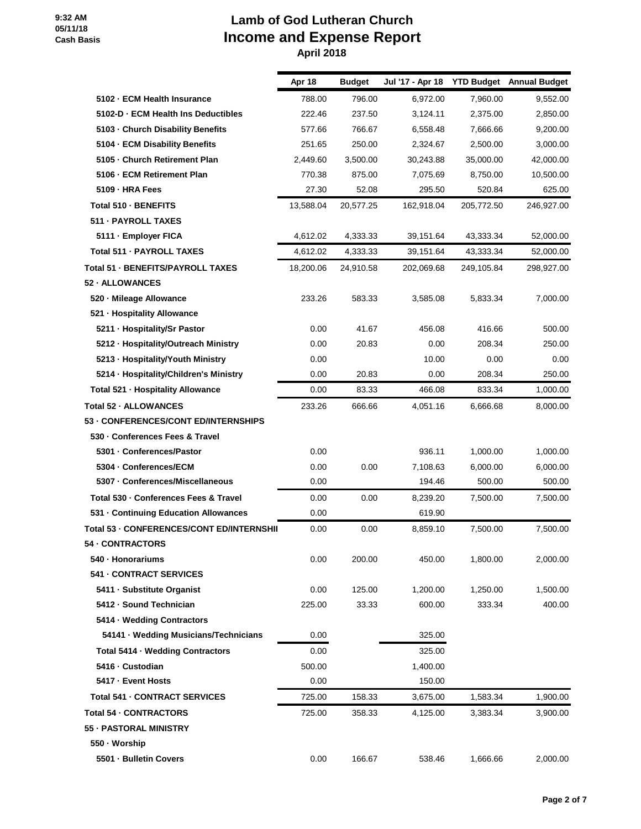|                                           | Apr 18    | <b>Budget</b> | Jul '17 - Apr 18 |            | <b>YTD Budget</b> Annual Budget |
|-------------------------------------------|-----------|---------------|------------------|------------|---------------------------------|
| 5102 - ECM Health Insurance               | 788.00    | 796.00        | 6,972.00         | 7,960.00   | 9,552.00                        |
| 5102-D · ECM Health Ins Deductibles       | 222.46    | 237.50        | 3,124.11         | 2,375.00   | 2,850.00                        |
| 5103 - Church Disability Benefits         | 577.66    | 766.67        | 6,558.48         | 7,666.66   | 9,200.00                        |
| 5104 - ECM Disability Benefits            | 251.65    | 250.00        | 2,324.67         | 2,500.00   | 3,000.00                        |
| 5105 - Church Retirement Plan             | 2,449.60  | 3,500.00      | 30,243.88        | 35,000.00  | 42,000.00                       |
| 5106 - ECM Retirement Plan                | 770.38    | 875.00        | 7,075.69         | 8,750.00   | 10,500.00                       |
| 5109 - HRA Fees                           | 27.30     | 52.08         | 295.50           | 520.84     | 625.00                          |
| Total 510 - BENEFITS                      | 13,588.04 | 20,577.25     | 162,918.04       | 205,772.50 | 246,927.00                      |
| 511 - PAYROLL TAXES                       |           |               |                  |            |                                 |
| 5111 · Employer FICA                      | 4,612.02  | 4,333.33      | 39,151.64        | 43,333.34  | 52,000.00                       |
| Total 511 - PAYROLL TAXES                 | 4,612.02  | 4,333.33      | 39,151.64        | 43,333.34  | 52,000.00                       |
| Total 51 - BENEFITS/PAYROLL TAXES         | 18,200.06 | 24,910.58     | 202,069.68       | 249,105.84 | 298,927.00                      |
| 52 - ALLOWANCES                           |           |               |                  |            |                                 |
| 520 - Mileage Allowance                   | 233.26    | 583.33        | 3,585.08         | 5,833.34   | 7,000.00                        |
| 521 - Hospitality Allowance               |           |               |                  |            |                                 |
| 5211 - Hospitality/Sr Pastor              | 0.00      | 41.67         | 456.08           | 416.66     | 500.00                          |
| 5212 - Hospitality/Outreach Ministry      | 0.00      | 20.83         | 0.00             | 208.34     | 250.00                          |
| 5213 - Hospitality/Youth Ministry         | 0.00      |               | 10.00            | 0.00       | 0.00                            |
| 5214 · Hospitality/Children's Ministry    | 0.00      | 20.83         | 0.00             | 208.34     | 250.00                          |
| Total 521 - Hospitality Allowance         | 0.00      | 83.33         | 466.08           | 833.34     | 1,000.00                        |
| Total 52 - ALLOWANCES                     | 233.26    | 666.66        | 4,051.16         | 6,666.68   | 8,000.00                        |
| 53 - CONFERENCES/CONT ED/INTERNSHIPS      |           |               |                  |            |                                 |
| 530 - Conferences Fees & Travel           |           |               |                  |            |                                 |
| 5301 - Conferences/Pastor                 | 0.00      |               | 936.11           | 1,000.00   | 1,000.00                        |
| 5304 - Conferences/ECM                    | 0.00      | 0.00          | 7,108.63         | 6,000.00   | 6,000.00                        |
| 5307 - Conferences/Miscellaneous          | 0.00      |               | 194.46           | 500.00     | 500.00                          |
| Total 530 - Conferences Fees & Travel     | 0.00      | 0.00          | 8,239.20         | 7,500.00   | 7,500.00                        |
| 531 - Continuing Education Allowances     | 0.00      |               | 619.90           |            |                                 |
| Total 53 - CONFERENCES/CONT ED/INTERNSHII | 0.00      | 0.00          | 8,859.10         | 7,500.00   | 7,500.00                        |
| 54 - CONTRACTORS                          |           |               |                  |            |                                 |
| 540 · Honorariums                         | 0.00      | 200.00        | 450.00           | 1,800.00   | 2,000.00                        |
| 541 - CONTRACT SERVICES                   |           |               |                  |            |                                 |
| 5411 · Substitute Organist                | 0.00      | 125.00        | 1,200.00         | 1,250.00   | 1,500.00                        |
| 5412 - Sound Technician                   | 225.00    | 33.33         | 600.00           | 333.34     | 400.00                          |
| 5414 · Wedding Contractors                |           |               |                  |            |                                 |
| 54141 · Wedding Musicians/Technicians     | 0.00      |               | 325.00           |            |                                 |
| Total 5414 - Wedding Contractors          | 0.00      |               | 325.00           |            |                                 |
| 5416 - Custodian                          | 500.00    |               | 1,400.00         |            |                                 |
| 5417 - Event Hosts                        | 0.00      |               | 150.00           |            |                                 |
| Total 541 - CONTRACT SERVICES             | 725.00    | 158.33        | 3,675.00         | 1,583.34   | 1,900.00                        |
| <b>Total 54 - CONTRACTORS</b>             | 725.00    | 358.33        | 4,125.00         | 3,383.34   | 3,900.00                        |
| 55 - PASTORAL MINISTRY                    |           |               |                  |            |                                 |
| 550 · Worship                             |           |               |                  |            |                                 |
| 5501 - Bulletin Covers                    | 0.00      | 166.67        | 538.46           | 1,666.66   | 2,000.00                        |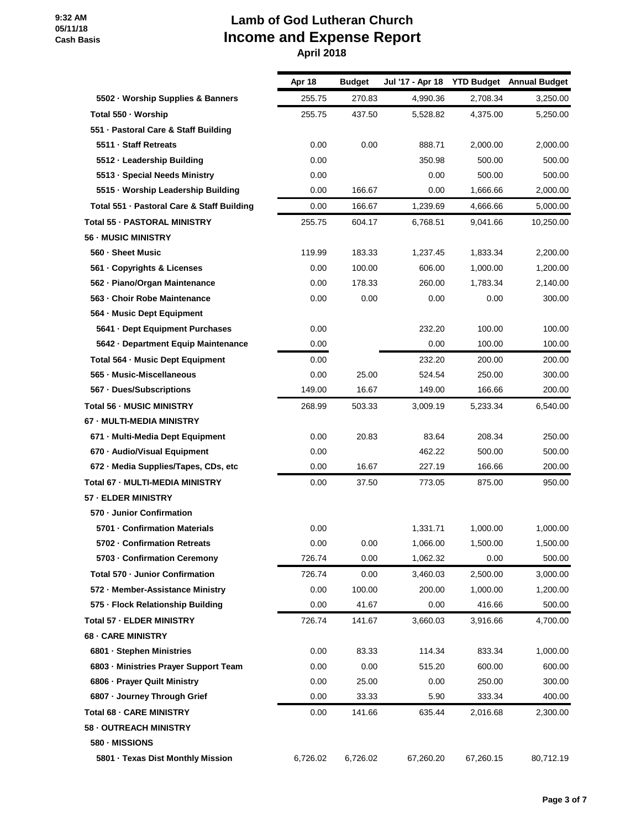## **Lamb of God Lutheran Church Income and Expense Report**

 **April 2018**

|                                            | Apr 18   | <b>Budget</b> | Jul '17 - Apr 18 |           | <b>YTD Budget</b> Annual Budget |
|--------------------------------------------|----------|---------------|------------------|-----------|---------------------------------|
| 5502 · Worship Supplies & Banners          | 255.75   | 270.83        | 4,990.36         | 2,708.34  | 3,250.00                        |
| Total 550 · Worship                        | 255.75   | 437.50        | 5,528.82         | 4,375.00  | 5,250.00                        |
| 551 - Pastoral Care & Staff Building       |          |               |                  |           |                                 |
| 5511 · Staff Retreats                      | 0.00     | 0.00          | 888.71           | 2,000.00  | 2,000.00                        |
| 5512 - Leadership Building                 | 0.00     |               | 350.98           | 500.00    | 500.00                          |
| 5513 · Special Needs Ministry              | 0.00     |               | 0.00             | 500.00    | 500.00                          |
| 5515 · Worship Leadership Building         | 0.00     | 166.67        | 0.00             | 1,666.66  | 2,000.00                        |
| Total 551 - Pastoral Care & Staff Building | 0.00     | 166.67        | 1,239.69         | 4,666.66  | 5,000.00                        |
| <b>Total 55 - PASTORAL MINISTRY</b>        | 255.75   | 604.17        | 6,768.51         | 9,041.66  | 10,250.00                       |
| <b>56 - MUSIC MINISTRY</b>                 |          |               |                  |           |                                 |
| 560 - Sheet Music                          | 119.99   | 183.33        | 1,237.45         | 1,833.34  | 2,200.00                        |
| 561 · Copyrights & Licenses                | 0.00     | 100.00        | 606.00           | 1,000.00  | 1,200.00                        |
| 562 - Piano/Organ Maintenance              | 0.00     | 178.33        | 260.00           | 1,783.34  | 2,140.00                        |
| 563 - Choir Robe Maintenance               | 0.00     | 0.00          | 0.00             | 0.00      | 300.00                          |
| 564 - Music Dept Equipment                 |          |               |                  |           |                                 |
| 5641 - Dept Equipment Purchases            | 0.00     |               | 232.20           | 100.00    | 100.00                          |
| 5642 - Department Equip Maintenance        | 0.00     |               | 0.00             | 100.00    | 100.00                          |
| Total 564 - Music Dept Equipment           | 0.00     |               | 232.20           | 200.00    | 200.00                          |
| 565 - Music-Miscellaneous                  | 0.00     | 25.00         | 524.54           | 250.00    | 300.00                          |
| 567 - Dues/Subscriptions                   | 149.00   | 16.67         | 149.00           | 166.66    | 200.00                          |
| <b>Total 56 - MUSIC MINISTRY</b>           | 268.99   | 503.33        | 3,009.19         | 5,233.34  | 6,540.00                        |
| 67 - MULTI-MEDIA MINISTRY                  |          |               |                  |           |                                 |
| 671 - Multi-Media Dept Equipment           | 0.00     | 20.83         | 83.64            | 208.34    | 250.00                          |
| 670 - Audio/Visual Equipment               | 0.00     |               | 462.22           | 500.00    | 500.00                          |
| 672 - Media Supplies/Tapes, CDs, etc       | 0.00     | 16.67         | 227.19           | 166.66    | 200.00                          |
| Total 67 - MULTI-MEDIA MINISTRY            | 0.00     | 37.50         | 773.05           | 875.00    | 950.00                          |
| 57 - ELDER MINISTRY                        |          |               |                  |           |                                 |
| 570 - Junior Confirmation                  |          |               |                  |           |                                 |
| 5701 - Confirmation Materials              | 0.00     |               | 1,331.71         | 1,000.00  | 1,000.00                        |
| 5702 - Confirmation Retreats               | 0.00     | 0.00          | 1,066.00         | 1,500.00  | 1,500.00                        |
| 5703 - Confirmation Ceremony               | 726.74   | 0.00          | 1,062.32         | 0.00      | 500.00                          |
| Total 570 · Junior Confirmation            | 726.74   | 0.00          | 3,460.03         | 2,500.00  | 3,000.00                        |
| 572 - Member-Assistance Ministry           | 0.00     | 100.00        | 200.00           | 1,000.00  | 1,200.00                        |
| 575 - Flock Relationship Building          | 0.00     | 41.67         | 0.00             | 416.66    | 500.00                          |
| <b>Total 57 - ELDER MINISTRY</b>           | 726.74   | 141.67        | 3,660.03         | 3,916.66  | 4,700.00                        |
| <b>68 - CARE MINISTRY</b>                  |          |               |                  |           |                                 |
| 6801 - Stephen Ministries                  | 0.00     | 83.33         | 114.34           | 833.34    | 1,000.00                        |
| 6803 - Ministries Prayer Support Team      | 0.00     | 0.00          | 515.20           | 600.00    | 600.00                          |
| 6806 - Prayer Quilt Ministry               | 0.00     | 25.00         | 0.00             | 250.00    | 300.00                          |
| 6807 · Journey Through Grief               | 0.00     | 33.33         | 5.90             | 333.34    | 400.00                          |
| <b>Total 68 - CARE MINISTRY</b>            | 0.00     | 141.66        | 635.44           | 2,016.68  | 2,300.00                        |
| <b>58 - OUTREACH MINISTRY</b>              |          |               |                  |           |                                 |
| 580 - MISSIONS                             |          |               |                  |           |                                 |
| 5801 · Texas Dist Monthly Mission          | 6,726.02 | 6,726.02      | 67,260.20        | 67,260.15 | 80,712.19                       |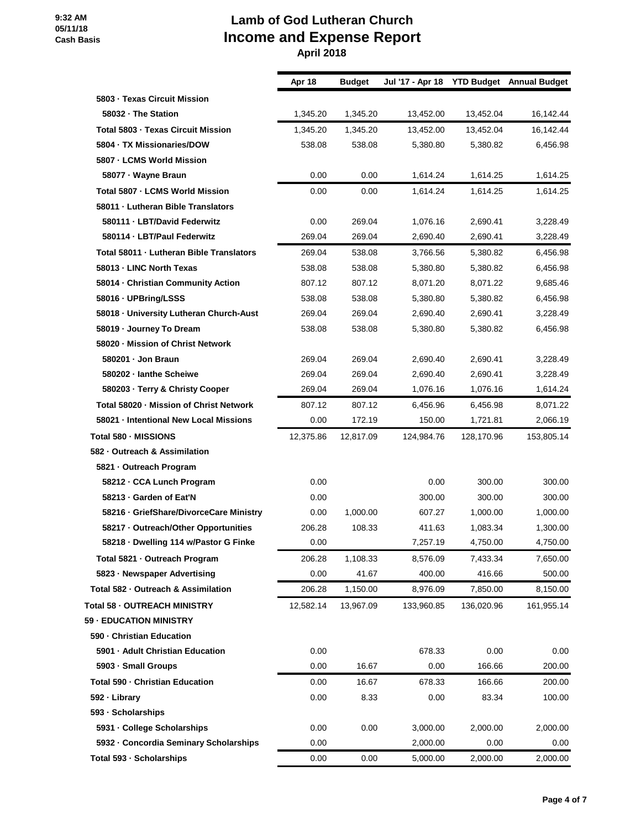## **Lamb of God Lutheran Church Income and Expense Report**

 **April 2018**

|                                          | Apr 18    | <b>Budget</b> | Jul '17 - Apr 18 YTD Budget Annual Budget |            |            |
|------------------------------------------|-----------|---------------|-------------------------------------------|------------|------------|
| 5803 - Texas Circuit Mission             |           |               |                                           |            |            |
| 58032 · The Station                      | 1,345.20  | 1,345.20      | 13,452.00                                 | 13,452.04  | 16,142.44  |
| Total 5803 - Texas Circuit Mission       | 1,345.20  | 1,345.20      | 13,452.00                                 | 13,452.04  | 16,142.44  |
| 5804 · TX Missionaries/DOW               | 538.08    | 538.08        | 5,380.80                                  | 5,380.82   | 6,456.98   |
| 5807 - LCMS World Mission                |           |               |                                           |            |            |
| 58077 · Wayne Braun                      | 0.00      | 0.00          | 1,614.24                                  | 1,614.25   | 1,614.25   |
| Total 5807 - LCMS World Mission          | 0.00      | 0.00          | 1.614.24                                  | 1,614.25   | 1.614.25   |
| 58011 - Lutheran Bible Translators       |           |               |                                           |            |            |
| 580111 · LBT/David Federwitz             | 0.00      | 269.04        | 1,076.16                                  | 2,690.41   | 3,228.49   |
| 580114 - LBT/Paul Federwitz              | 269.04    | 269.04        | 2,690.40                                  | 2,690.41   | 3,228.49   |
| Total 58011 - Lutheran Bible Translators | 269.04    | 538.08        | 3,766.56                                  | 5,380.82   | 6,456.98   |
| 58013 - LINC North Texas                 | 538.08    | 538.08        | 5,380.80                                  | 5,380.82   | 6,456.98   |
| 58014 - Christian Community Action       | 807.12    | 807.12        | 8,071.20                                  | 8,071.22   | 9,685.46   |
| 58016 - UPBring/LSSS                     | 538.08    | 538.08        | 5,380.80                                  | 5,380.82   | 6,456.98   |
| 58018 - University Lutheran Church-Aust  | 269.04    | 269.04        | 2,690.40                                  | 2,690.41   | 3,228.49   |
| 58019 · Journey To Dream                 | 538.08    | 538.08        | 5,380.80                                  | 5,380.82   | 6,456.98   |
| 58020 - Mission of Christ Network        |           |               |                                           |            |            |
| 580201 · Jon Braun                       | 269.04    | 269.04        | 2,690.40                                  | 2,690.41   | 3,228.49   |
| 580202 - lanthe Scheiwe                  | 269.04    | 269.04        | 2,690.40                                  | 2,690.41   | 3,228.49   |
| 580203 · Terry & Christy Cooper          | 269.04    | 269.04        | 1,076.16                                  | 1,076.16   | 1,614.24   |
| Total 58020 - Mission of Christ Network  | 807.12    | 807.12        | 6,456.96                                  | 6,456.98   | 8,071.22   |
| 58021 · Intentional New Local Missions   | 0.00      | 172.19        | 150.00                                    | 1,721.81   | 2,066.19   |
| Total 580 - MISSIONS                     | 12,375.86 | 12,817.09     | 124,984.76                                | 128,170.96 | 153,805.14 |
| 582 - Outreach & Assimilation            |           |               |                                           |            |            |
| 5821 - Outreach Program                  |           |               |                                           |            |            |
| 58212 - CCA Lunch Program                | 0.00      |               | 0.00                                      | 300.00     | 300.00     |
| 58213 - Garden of Eat'N                  | 0.00      |               | 300.00                                    | 300.00     | 300.00     |
| 58216 · GriefShare/DivorceCare Ministry  | 0.00      | 1,000.00      | 607.27                                    | 1,000.00   | 1,000.00   |
| 58217 - Outreach/Other Opportunities     | 206.28    | 108.33        | 411.63                                    | 1,083.34   | 1,300.00   |
| 58218 · Dwelling 114 w/Pastor G Finke    | 0.00      |               | 7,257.19                                  | 4,750.00   | 4,750.00   |
| Total 5821 - Outreach Program            | 206.28    | 1,108.33      | 8,576.09                                  | 7,433.34   | 7,650.00   |
| 5823 · Newspaper Advertising             | 0.00      | 41.67         | 400.00                                    | 416.66     | 500.00     |
| Total 582 - Outreach & Assimilation      | 206.28    | 1,150.00      | 8,976.09                                  | 7,850.00   | 8,150.00   |
| Total 58 - OUTREACH MINISTRY             | 12,582.14 | 13,967.09     | 133,960.85                                | 136,020.96 | 161,955.14 |
| 59 - EDUCATION MINISTRY                  |           |               |                                           |            |            |
| 590 - Christian Education                |           |               |                                           |            |            |
| 5901 - Adult Christian Education         | 0.00      |               | 678.33                                    | 0.00       | 0.00       |
| 5903 - Small Groups                      | 0.00      | 16.67         | 0.00                                      | 166.66     | 200.00     |
| Total 590 - Christian Education          | 0.00      | 16.67         | 678.33                                    | 166.66     | 200.00     |
| 592 · Library                            | 0.00      | 8.33          | 0.00                                      | 83.34      | 100.00     |
| 593 - Scholarships                       |           |               |                                           |            |            |
| 5931 - College Scholarships              | 0.00      | 0.00          | 3,000.00                                  | 2,000.00   | 2,000.00   |
| 5932 - Concordia Seminary Scholarships   | 0.00      |               | 2,000.00                                  | 0.00       | 0.00       |
| Total 593 · Scholarships                 | 0.00      | 0.00          | 5,000.00                                  | 2,000.00   | 2,000.00   |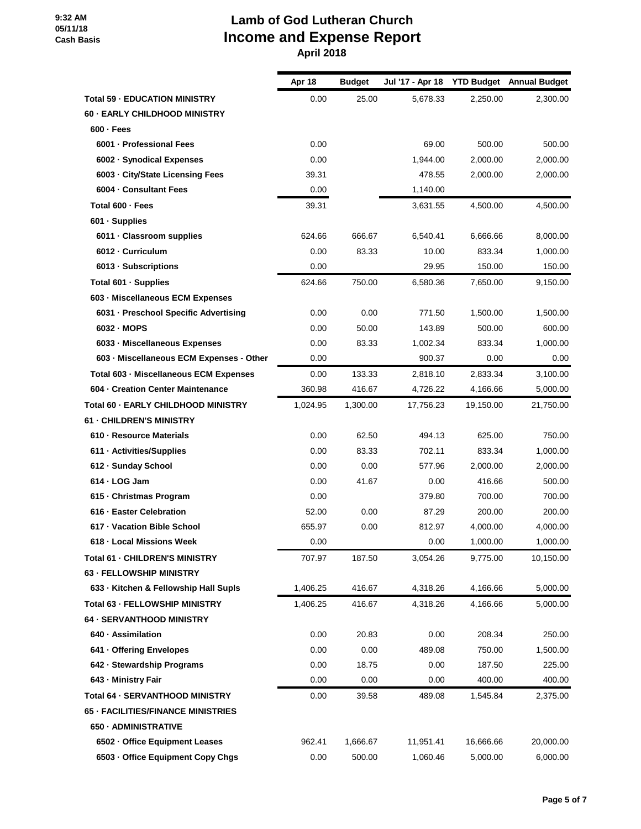|                                           | Apr 18   | <b>Budget</b> | Jul '17 - Apr 18 |           | <b>YTD Budget</b> Annual Budget |
|-------------------------------------------|----------|---------------|------------------|-----------|---------------------------------|
| <b>Total 59 - EDUCATION MINISTRY</b>      | 0.00     | 25.00         | 5,678.33         | 2,250.00  | 2,300.00                        |
| 60 - EARLY CHILDHOOD MINISTRY             |          |               |                  |           |                                 |
| $600 - Fees$                              |          |               |                  |           |                                 |
| 6001 - Professional Fees                  | 0.00     |               | 69.00            | 500.00    | 500.00                          |
| 6002 - Synodical Expenses                 | 0.00     |               | 1,944.00         | 2,000.00  | 2,000.00                        |
| 6003 - City/State Licensing Fees          | 39.31    |               | 478.55           | 2,000.00  | 2,000.00                        |
| 6004 - Consultant Fees                    | 0.00     |               | 1,140.00         |           |                                 |
| Total 600 - Fees                          | 39.31    |               | 3,631.55         | 4,500.00  | 4.500.00                        |
| 601 · Supplies                            |          |               |                  |           |                                 |
| 6011 · Classroom supplies                 | 624.66   | 666.67        | 6,540.41         | 6,666.66  | 8,000.00                        |
| 6012 - Curriculum                         | 0.00     | 83.33         | 10.00            | 833.34    | 1,000.00                        |
| 6013 · Subscriptions                      | 0.00     |               | 29.95            | 150.00    | 150.00                          |
| Total 601 · Supplies                      | 624.66   | 750.00        | 6,580.36         | 7,650.00  | 9,150.00                        |
| 603 - Miscellaneous ECM Expenses          |          |               |                  |           |                                 |
| 6031 - Preschool Specific Advertising     | 0.00     | 0.00          | 771.50           | 1,500.00  | 1,500.00                        |
| 6032 - MOPS                               | 0.00     | 50.00         | 143.89           | 500.00    | 600.00                          |
| 6033 - Miscellaneous Expenses             | 0.00     | 83.33         | 1,002.34         | 833.34    | 1,000.00                        |
| 603 - Miscellaneous ECM Expenses - Other  | 0.00     |               | 900.37           | 0.00      | 0.00                            |
| Total 603 - Miscellaneous ECM Expenses    | 0.00     | 133.33        | 2,818.10         | 2,833.34  | 3,100.00                        |
| 604 - Creation Center Maintenance         | 360.98   | 416.67        | 4,726.22         | 4,166.66  | 5,000.00                        |
| Total 60 - EARLY CHILDHOOD MINISTRY       | 1,024.95 | 1,300.00      | 17,756.23        | 19,150.00 | 21,750.00                       |
| <b>61 - CHILDREN'S MINISTRY</b>           |          |               |                  |           |                                 |
| 610 - Resource Materials                  | 0.00     | 62.50         | 494.13           | 625.00    | 750.00                          |
| 611 · Activities/Supplies                 | 0.00     | 83.33         | 702.11           | 833.34    | 1,000.00                        |
| 612 - Sunday School                       | 0.00     | 0.00          | 577.96           | 2,000.00  | 2,000.00                        |
| $614 \cdot$ LOG Jam                       | 0.00     | 41.67         | 0.00             | 416.66    | 500.00                          |
| 615 - Christmas Program                   | 0.00     |               | 379.80           | 700.00    | 700.00                          |
| 616 · Easter Celebration                  | 52.00    | 0.00          | 87.29            | 200.00    | 200.00                          |
| 617 - Vacation Bible School               | 655.97   | 0.00          | 812.97           | 4,000.00  | 4,000.00                        |
| 618 - Local Missions Week                 | 0.00     |               | 0.00             | 1,000.00  | 1,000.00                        |
| Total 61 - CHILDREN'S MINISTRY            | 707.97   | 187.50        | 3,054.26         | 9,775.00  | 10,150.00                       |
| <b>63 - FELLOWSHIP MINISTRY</b>           |          |               |                  |           |                                 |
| 633 - Kitchen & Fellowship Hall Supls     | 1,406.25 | 416.67        | 4,318.26         | 4,166.66  | 5,000.00                        |
| Total 63 - FELLOWSHIP MINISTRY            | 1,406.25 | 416.67        | 4,318.26         | 4,166.66  | 5,000.00                        |
| 64 - SERVANTHOOD MINISTRY                 |          |               |                  |           |                                 |
| 640 · Assimilation                        | 0.00     | 20.83         | 0.00             | 208.34    | 250.00                          |
| 641 - Offering Envelopes                  | 0.00     | 0.00          | 489.08           | 750.00    | 1,500.00                        |
| 642 - Stewardship Programs                | 0.00     | 18.75         | 0.00             | 187.50    | 225.00                          |
| 643 - Ministry Fair                       | 0.00     | 0.00          | 0.00             | 400.00    | 400.00                          |
| Total 64 - SERVANTHOOD MINISTRY           | 0.00     | 39.58         | 489.08           | 1,545.84  | 2,375.00                        |
| <b>65 - FACILITIES/FINANCE MINISTRIES</b> |          |               |                  |           |                                 |
| 650 - ADMINISTRATIVE                      |          |               |                  |           |                                 |
| 6502 - Office Equipment Leases            | 962.41   | 1,666.67      | 11,951.41        | 16,666.66 | 20,000.00                       |
| 6503 - Office Equipment Copy Chgs         | 0.00     | 500.00        | 1,060.46         | 5,000.00  | 6,000.00                        |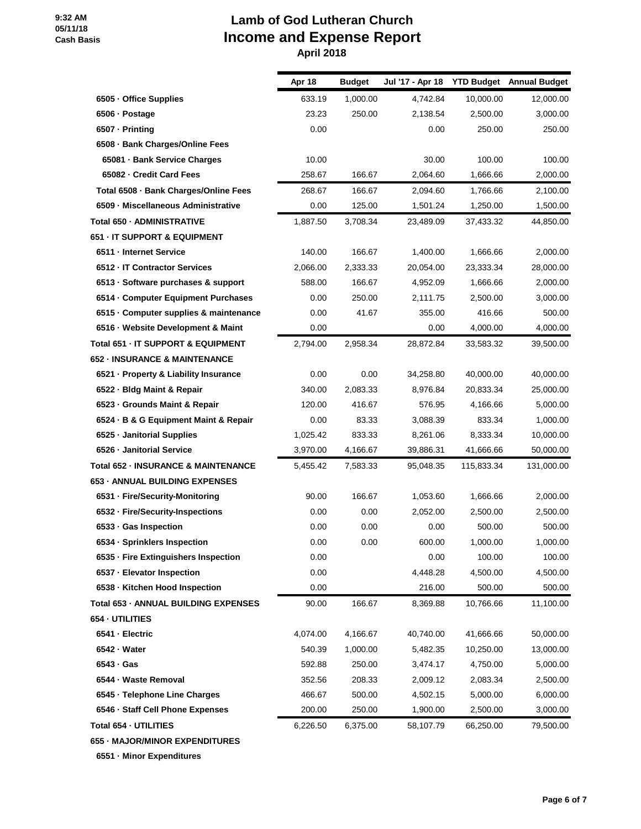#### **Lamb of God Lutheran Church Income and Expense Report April 2018**

|                                                | Apr 18   | <b>Budget</b> | Jul '17 - Apr 18 |            | <b>YTD Budget</b> Annual Budget |
|------------------------------------------------|----------|---------------|------------------|------------|---------------------------------|
| 6505 · Office Supplies                         | 633.19   | 1,000.00      | 4,742.84         | 10,000.00  | 12,000.00                       |
| 6506 · Postage                                 | 23.23    | 250.00        | 2,138.54         | 2,500.00   | 3,000.00                        |
| 6507 - Printing                                | 0.00     |               | 0.00             | 250.00     | 250.00                          |
| 6508 · Bank Charges/Online Fees                |          |               |                  |            |                                 |
| 65081 - Bank Service Charges                   | 10.00    |               | 30.00            | 100.00     | 100.00                          |
| 65082 - Credit Card Fees                       | 258.67   | 166.67        | 2,064.60         | 1,666.66   | 2,000.00                        |
| Total 6508 - Bank Charges/Online Fees          | 268.67   | 166.67        | 2,094.60         | 1,766.66   | 2,100.00                        |
| 6509 - Miscellaneous Administrative            | 0.00     | 125.00        | 1,501.24         | 1,250.00   | 1,500.00                        |
| Total 650 - ADMINISTRATIVE                     | 1,887.50 | 3,708.34      | 23,489.09        | 37,433.32  | 44,850.00                       |
| 651 - IT SUPPORT & EQUIPMENT                   |          |               |                  |            |                                 |
| 6511 - Internet Service                        | 140.00   | 166.67        | 1,400.00         | 1,666.66   | 2,000.00                        |
| 6512 - IT Contractor Services                  | 2,066.00 | 2,333.33      | 20,054.00        | 23,333.34  | 28,000.00                       |
| 6513 - Software purchases & support            | 588.00   | 166.67        | 4,952.09         | 1,666.66   | 2,000.00                        |
| 6514 Computer Equipment Purchases              | 0.00     | 250.00        | 2,111.75         | 2,500.00   | 3,000.00                        |
| 6515 - Computer supplies & maintenance         | 0.00     | 41.67         | 355.00           | 416.66     | 500.00                          |
| 6516 · Website Development & Maint             | 0.00     |               | 0.00             | 4,000.00   | 4,000.00                        |
| Total 651 - IT SUPPORT & EQUIPMENT             | 2,794.00 | 2,958.34      | 28,872.84        | 33,583.32  | 39,500.00                       |
| 652 - INSURANCE & MAINTENANCE                  |          |               |                  |            |                                 |
| 6521 - Property & Liability Insurance          | 0.00     | 0.00          | 34,258.80        | 40,000.00  | 40,000.00                       |
| 6522 - Bldg Maint & Repair                     | 340.00   | 2,083.33      | 8,976.84         | 20,833.34  | 25,000.00                       |
| 6523 - Grounds Maint & Repair                  | 120.00   | 416.67        | 576.95           | 4,166.66   | 5,000.00                        |
| 6524 · B & G Equipment Maint & Repair          | 0.00     | 83.33         | 3,088.39         | 833.34     | 1,000.00                        |
| 6525 · Janitorial Supplies                     | 1,025.42 | 833.33        | 8,261.06         | 8,333.34   | 10,000.00                       |
| 6526 - Janitorial Service                      | 3,970.00 | 4,166.67      | 39,886.31        | 41,666.66  | 50,000.00                       |
| <b>Total 652 - INSURANCE &amp; MAINTENANCE</b> | 5,455.42 | 7,583.33      | 95,048.35        | 115,833.34 | 131,000.00                      |
| 653 - ANNUAL BUILDING EXPENSES                 |          |               |                  |            |                                 |
| 6531 - Fire/Security-Monitoring                | 90.00    | 166.67        | 1,053.60         | 1,666.66   | 2,000.00                        |
| 6532 · Fire/Security-Inspections               | 0.00     | 0.00          | 2,052.00         | 2,500.00   | 2,500.00                        |
| 6533 · Gas Inspection                          | 0.00     | 0.00          | 0.00             | 500.00     | 500.00                          |
| 6534 · Sprinklers Inspection                   | 0.00     | 0.00          | 600.00           | 1,000.00   | 1,000.00                        |
| 6535 - Fire Extinguishers Inspection           | 0.00     |               | 0.00             | 100.00     | 100.00                          |
| 6537 - Elevator Inspection                     | 0.00     |               | 4,448.28         | 4,500.00   | 4,500.00                        |
| 6538 - Kitchen Hood Inspection                 | 0.00     |               | 216.00           | 500.00     | 500.00                          |
| Total 653 - ANNUAL BUILDING EXPENSES           | 90.00    | 166.67        | 8,369.88         | 10,766.66  | 11,100.00                       |
| 654 - UTILITIES                                |          |               |                  |            |                                 |
| 6541 - Electric                                | 4,074.00 | 4,166.67      | 40,740.00        | 41,666.66  | 50,000.00                       |
| 6542 - Water                                   | 540.39   | 1,000.00      | 5,482.35         | 10,250.00  | 13,000.00                       |
| 6543 · Gas                                     | 592.88   | 250.00        | 3,474.17         | 4,750.00   | 5,000.00                        |
| 6544 · Waste Removal                           | 352.56   | 208.33        | 2,009.12         | 2,083.34   | 2,500.00                        |
| 6545 · Telephone Line Charges                  | 466.67   | 500.00        | 4,502.15         | 5,000.00   | 6,000.00                        |
| 6546 · Staff Cell Phone Expenses               | 200.00   | 250.00        | 1,900.00         | 2,500.00   | 3,000.00                        |
| Total 654 - UTILITIES                          | 6,226.50 | 6,375.00      | 58,107.79        | 66,250.00  | 79,500.00                       |
| 655 - MAJOR/MINOR EXPENDITURES                 |          |               |                  |            |                                 |

**6551 · Minor Expenditures**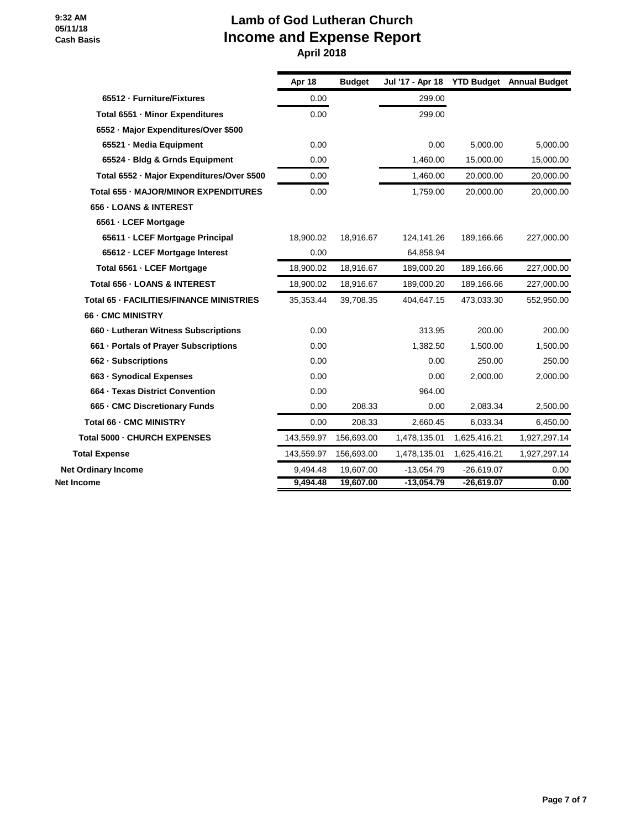|                                            | Apr 18     | <b>Budget</b> | Jul '17 - Apr 18 YTD Budget Annual Budget |              |              |
|--------------------------------------------|------------|---------------|-------------------------------------------|--------------|--------------|
| 65512 - Furniture/Fixtures                 | 0.00       |               | 299.00                                    |              |              |
| Total 6551 - Minor Expenditures            | 0.00       |               | 299.00                                    |              |              |
| 6552 - Major Expenditures/Over \$500       |            |               |                                           |              |              |
| 65521 - Media Equipment                    | 0.00       |               | 0.00                                      | 5.000.00     | 5,000.00     |
| 65524 · Bldg & Grnds Equipment             | 0.00       |               | 1,460.00                                  | 15,000.00    | 15,000.00    |
| Total 6552 - Major Expenditures/Over \$500 | 0.00       |               | 1,460.00                                  | 20,000.00    | 20,000.00    |
| Total 655 - MAJOR/MINOR EXPENDITURES       | 0.00       |               | 1,759.00                                  | 20,000.00    | 20,000.00    |
| 656 - LOANS & INTEREST                     |            |               |                                           |              |              |
| 6561 - LCEF Mortgage                       |            |               |                                           |              |              |
| 65611 - LCEF Mortgage Principal            | 18,900.02  | 18,916.67     | 124,141.26                                | 189,166.66   | 227,000.00   |
| 65612 - LCEF Mortgage Interest             | 0.00       |               | 64,858.94                                 |              |              |
| Total 6561 - LCEF Mortgage                 | 18,900.02  | 18,916.67     | 189,000.20                                | 189,166.66   | 227,000.00   |
| Total 656 - LOANS & INTEREST               | 18,900.02  | 18,916.67     | 189,000.20                                | 189,166.66   | 227,000.00   |
| Total 65 - FACILITIES/FINANCE MINISTRIES   | 35,353.44  | 39,708.35     | 404,647.15                                | 473,033.30   | 552,950.00   |
| 66 - CMC MINISTRY                          |            |               |                                           |              |              |
| 660 - Lutheran Witness Subscriptions       | 0.00       |               | 313.95                                    | 200.00       | 200.00       |
| 661 - Portals of Prayer Subscriptions      | 0.00       |               | 1,382.50                                  | 1.500.00     | 1,500.00     |
| 662 - Subscriptions                        | 0.00       |               | 0.00                                      | 250.00       | 250.00       |
| 663 - Synodical Expenses                   | 0.00       |               | 0.00                                      | 2,000.00     | 2,000.00     |
| 664 - Texas District Convention            | 0.00       |               | 964.00                                    |              |              |
| 665 - CMC Discretionary Funds              | 0.00       | 208.33        | 0.00                                      | 2,083.34     | 2,500.00     |
| Total 66 - CMC MINISTRY                    | 0.00       | 208.33        | 2,660.45                                  | 6,033.34     | 6,450.00     |
| Total 5000 - CHURCH EXPENSES               | 143,559.97 | 156,693.00    | 1,478,135.01                              | 1,625,416.21 | 1,927,297.14 |
| <b>Total Expense</b>                       | 143,559.97 | 156,693.00    | 1,478,135.01                              | 1,625,416.21 | 1,927,297.14 |
| <b>Net Ordinary Income</b>                 | 9,494.48   | 19,607.00     | $-13,054.79$                              | $-26,619.07$ | 0.00         |
| <b>Net Income</b>                          | 9,494.48   | 19,607.00     | $-13,054.79$                              | $-26,619.07$ | 0.00         |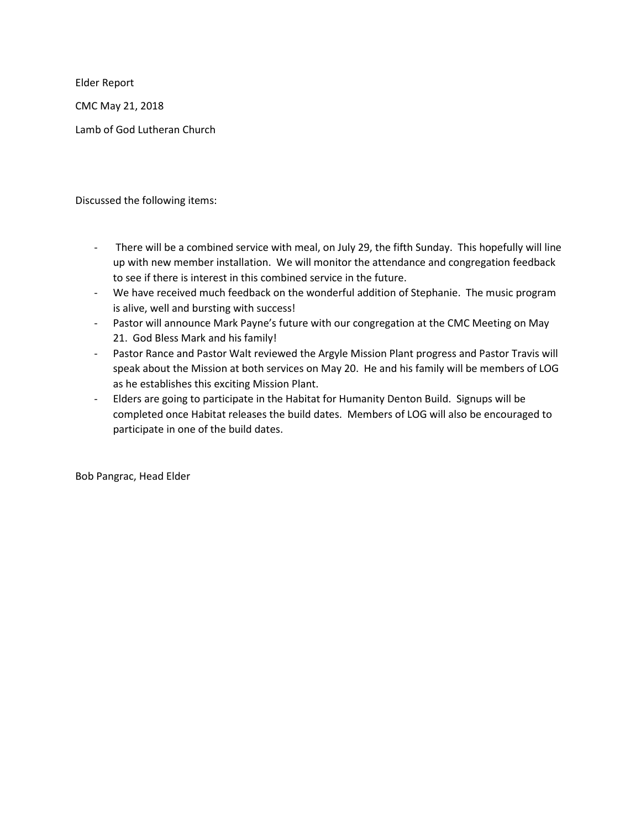Elder Report

CMC May 21, 2018

Lamb of God Lutheran Church

Discussed the following items:

- There will be a combined service with meal, on July 29, the fifth Sunday. This hopefully will line up with new member installation. We will monitor the attendance and congregation feedback to see if there is interest in this combined service in the future.
- We have received much feedback on the wonderful addition of Stephanie. The music program is alive, well and bursting with success!
- Pastor will announce Mark Payne's future with our congregation at the CMC Meeting on May 21. God Bless Mark and his family!
- Pastor Rance and Pastor Walt reviewed the Argyle Mission Plant progress and Pastor Travis will speak about the Mission at both services on May 20. He and his family will be members of LOG as he establishes this exciting Mission Plant.
- Elders are going to participate in the Habitat for Humanity Denton Build. Signups will be completed once Habitat releases the build dates. Members of LOG will also be encouraged to participate in one of the build dates.

Bob Pangrac, Head Elder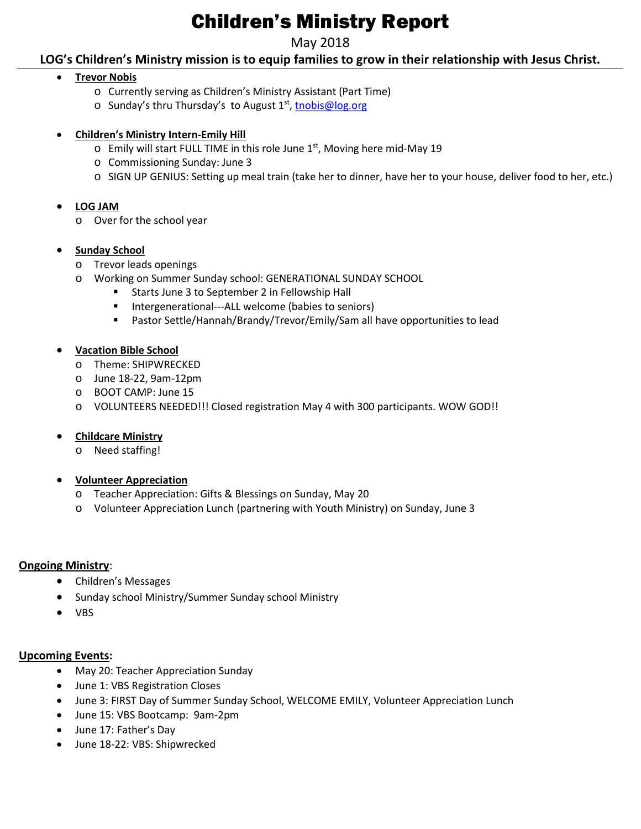## Children's Ministry Report

#### May 2018

**LOG's Children's Ministry mission is to equip families to grow in their relationship with Jesus Christ.**

#### • **Trevor Nobis**

- o Currently serving as Children's Ministry Assistant (Part Time)
- o Sunday's thru Thursday's to August 1<sup>st</sup>, [tnobis@log.org](mailto:tnobis@log.org)

#### • **Children's Ministry Intern-Emily Hill**

- $\circ$  Emily will start FULL TIME in this role June 1st, Moving here mid-May 19
- o Commissioning Sunday: June 3
- o SIGN UP GENIUS: Setting up meal train (take her to dinner, have her to your house, deliver food to her, etc.)

#### • **LOG JAM**

o Over for the school year

#### • **Sunday School**

- o Trevor leads openings
- o Working on Summer Sunday school: GENERATIONAL SUNDAY SCHOOL
	- **Starts June 3 to September 2 in Fellowship Hall**
	- Intergenerational---ALL welcome (babies to seniors)
	- Pastor Settle/Hannah/Brandy/Trevor/Emily/Sam all have opportunities to lead

#### • **Vacation Bible School**

- o Theme: SHIPWRECKED
- o June 18-22, 9am-12pm
- o BOOT CAMP: June 15
- o VOLUNTEERS NEEDED!!! Closed registration May 4 with 300 participants. WOW GOD!!

#### • **Childcare Ministry**

o Need staffing!

#### • **Volunteer Appreciation**

- o Teacher Appreciation: Gifts & Blessings on Sunday, May 20
- o Volunteer Appreciation Lunch (partnering with Youth Ministry) on Sunday, June 3

#### **Ongoing Ministry**:

- Children's Messages
- Sunday school Ministry/Summer Sunday school Ministry
- VBS

#### **Upcoming Events:**

- May 20: Teacher Appreciation Sunday
- June 1: VBS Registration Closes
- June 3: FIRST Day of Summer Sunday School, WELCOME EMILY, Volunteer Appreciation Lunch
- June 15: VBS Bootcamp: 9am-2pm
- June 17: Father's Day
- June 18-22: VBS: Shipwrecked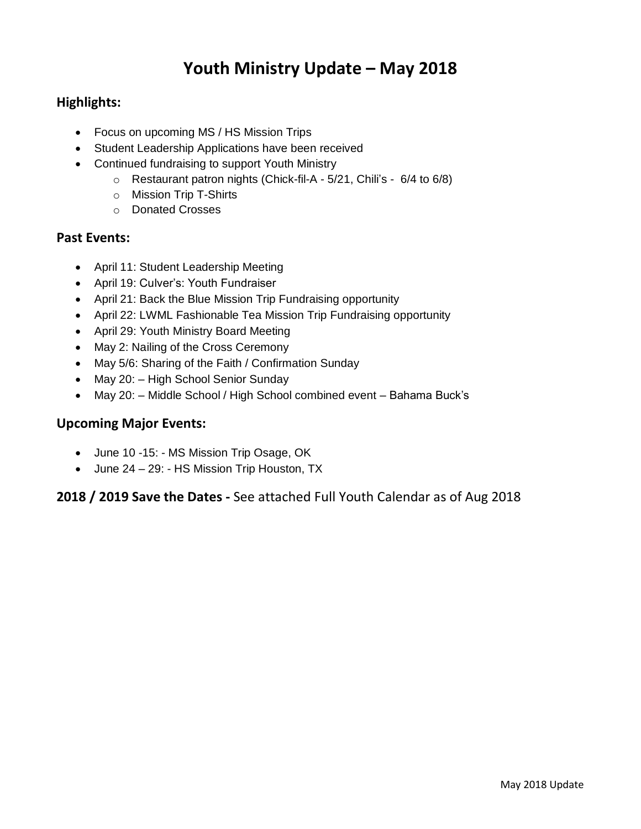## **Youth Ministry Update – May 2018**

#### **Highlights:**

- Focus on upcoming MS / HS Mission Trips
- Student Leadership Applications have been received
- Continued fundraising to support Youth Ministry
	- o Restaurant patron nights (Chick-fil-A 5/21, Chili's 6/4 to 6/8)
	- o Mission Trip T-Shirts
	- o Donated Crosses

#### **Past Events:**

- April 11: Student Leadership Meeting
- April 19: Culver's: Youth Fundraiser
- April 21: Back the Blue Mission Trip Fundraising opportunity
- April 22: LWML Fashionable Tea Mission Trip Fundraising opportunity
- April 29: Youth Ministry Board Meeting
- May 2: Nailing of the Cross Ceremony
- May 5/6: Sharing of the Faith / Confirmation Sunday
- May 20: High School Senior Sunday
- May 20: Middle School / High School combined event Bahama Buck's

#### **Upcoming Major Events:**

- June 10 -15: MS Mission Trip Osage, OK
- June 24 29: HS Mission Trip Houston, TX

#### **2018 / 2019 Save the Dates -** See attached Full Youth Calendar as of Aug 2018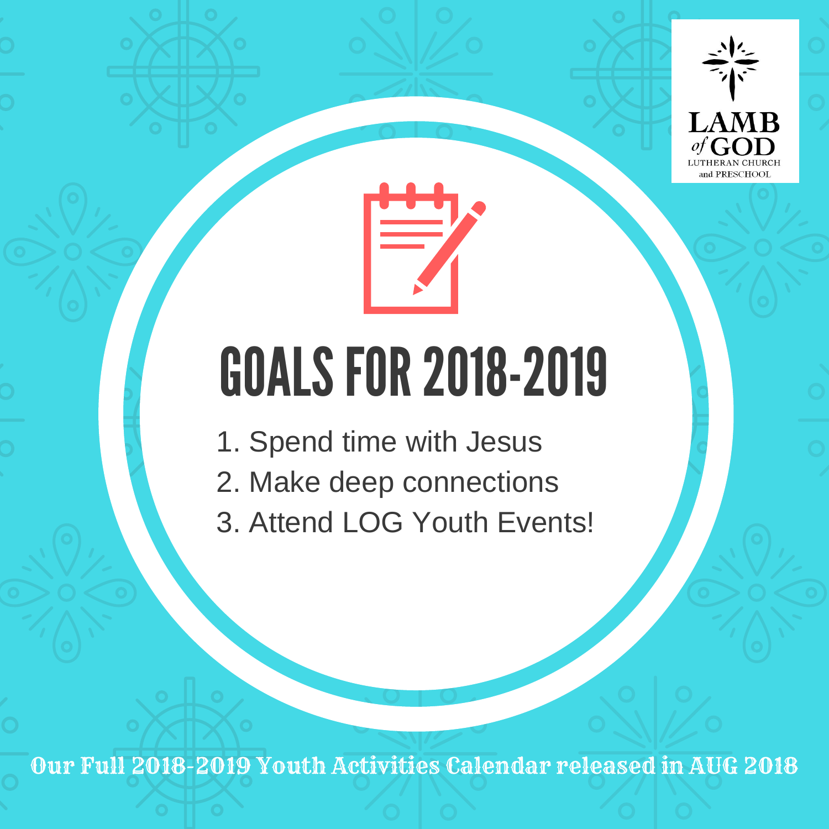

# GOALS FOR 2018-2019

- 1. Spend time with Jesus
- 2. Make deep connections
- 3. Attend LOG Youth Events!

Our Full 2018-2019 Youth Activities Calendar released in AUG 2018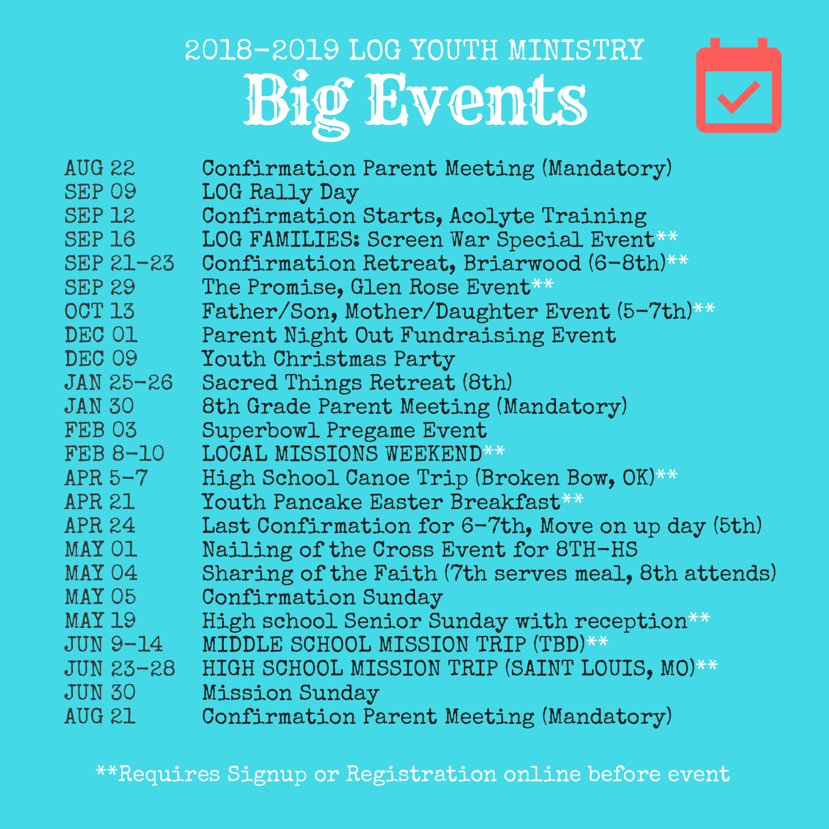# Big Events 2018-2019 LOG YOUTH MINISTRY



| AUG 22          | Confirmation Parent Meeting (Mandatory)             |
|-----------------|-----------------------------------------------------|
| SEP 09          | LOG Rally Day                                       |
| <b>SEP 12</b>   | Confirmation Starts, Acolyte Training               |
| <b>SEP 16</b>   | LOG FAMILIES: Screen War Special Event**            |
| $SEP 21 - 23$   | Confirmation Retreat, Briarwood (6-8th)**           |
| <b>SEP 29</b>   | The Promise, Glen Rose Event**                      |
| <b>OCT 13</b>   | Father/Son, Mother/Daughter Event (5-7th)**         |
| DEC 01          | Parent Night Out Fundraising Event                  |
| DEC 09          | Youth Christmas Party                               |
| $JAN 25-26$     | Sacred Things Retreat (8th)                         |
| <b>JAN 30</b>   | 8th Grade Parent Meeting (Mandatory)                |
| FEB 03          | <b>Superbowl Pregame Event</b>                      |
| <b>FEB 8-10</b> | <b>LOCAL MISSIONS WEEKEND**</b>                     |
| APR $5-7$       | High School Canoe Trip (Broken Bow, OK)**           |
| APR 21          | Youth Pancake Easter Breakfast**                    |
| APR 24          | Last Confirmation for 6-7th, Move on up day (5th)   |
| MAY O1          | Nailing of the Cross Event for 8TH-HS               |
| MAY 04          | Sharing of the Faith (7th serves meal, 8th attends) |
| MAY 05          | <b>Confirmation Sunday</b>                          |
| MAY 19          | High school Senior Sunday with reception**          |
| JUN 9-14        | MIDDLE SCHOOL MISSION TRIP (TBD)**                  |
| $JUN 23 - 28$   | HIGH SCHOOL MISSION TRIP (SAINT LOUIS, MO)**        |
| <b>JUN 30</b>   | <b>Mission Sunday</b>                               |
| <b>AUG 21</b>   | Confirmation Parent Meeting (Mandatory)             |
|                 |                                                     |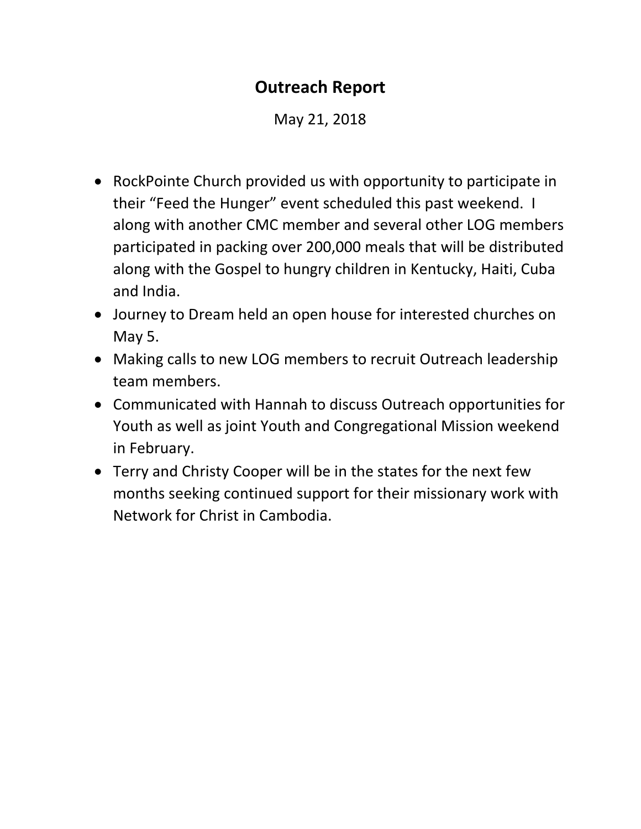## **Outreach Report**

May 21, 2018

- RockPointe Church provided us with opportunity to participate in their "Feed the Hunger" event scheduled this past weekend. I along with another CMC member and several other LOG members participated in packing over 200,000 meals that will be distributed along with the Gospel to hungry children in Kentucky, Haiti, Cuba and India.
- Journey to Dream held an open house for interested churches on May 5.
- Making calls to new LOG members to recruit Outreach leadership team members.
- Communicated with Hannah to discuss Outreach opportunities for Youth as well as joint Youth and Congregational Mission weekend in February.
- Terry and Christy Cooper will be in the states for the next few months seeking continued support for their missionary work with Network for Christ in Cambodia.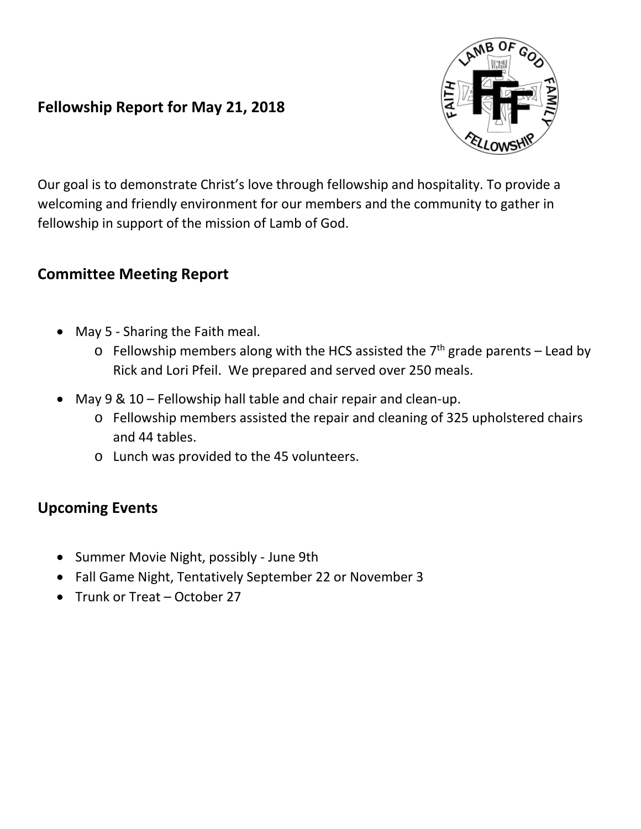## **Fellowship Report for May 21, 2018**

Our goal is to demonstrate Christ's love through fellowship and hospitality. To provide a welcoming and friendly environment for our members and the community to gather in fellowship in support of the mission of Lamb of God.

## **Committee Meeting Report**

- May 5 Sharing the Faith meal.
	- $\circ$  Fellowship members along with the HCS assisted the 7<sup>th</sup> grade parents Lead by Rick and Lori Pfeil. We prepared and served over 250 meals.
- May  $9 \& 10$  Fellowship hall table and chair repair and clean-up.
	- o Fellowship members assisted the repair and cleaning of 325 upholstered chairs and 44 tables.
	- o Lunch was provided to the 45 volunteers.

## **Upcoming Events**

- Summer Movie Night, possibly June 9th
- Fall Game Night, Tentatively September 22 or November 3
- Trunk or Treat October 27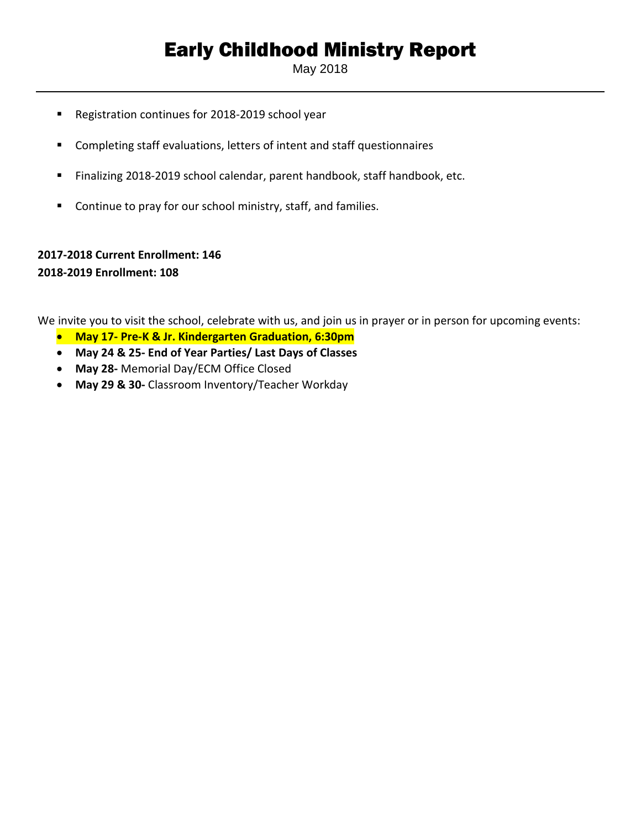## Early Childhood Ministry Report

May 2018

- Registration continues for 2018-2019 school year
- Completing staff evaluations, letters of intent and staff questionnaires
- Finalizing 2018-2019 school calendar, parent handbook, staff handbook, etc.
- Continue to pray for our school ministry, staff, and families.

#### **2017-2018 Current Enrollment: 146 2018-2019 Enrollment: 108**

We invite you to visit the school, celebrate with us, and join us in prayer or in person for upcoming events:

- **May 17- Pre-K & Jr. Kindergarten Graduation, 6:30pm**
- **May 24 & 25- End of Year Parties/ Last Days of Classes**
- **May 28-** Memorial Day/ECM Office Closed
- **May 29 & 30-** Classroom Inventory/Teacher Workday